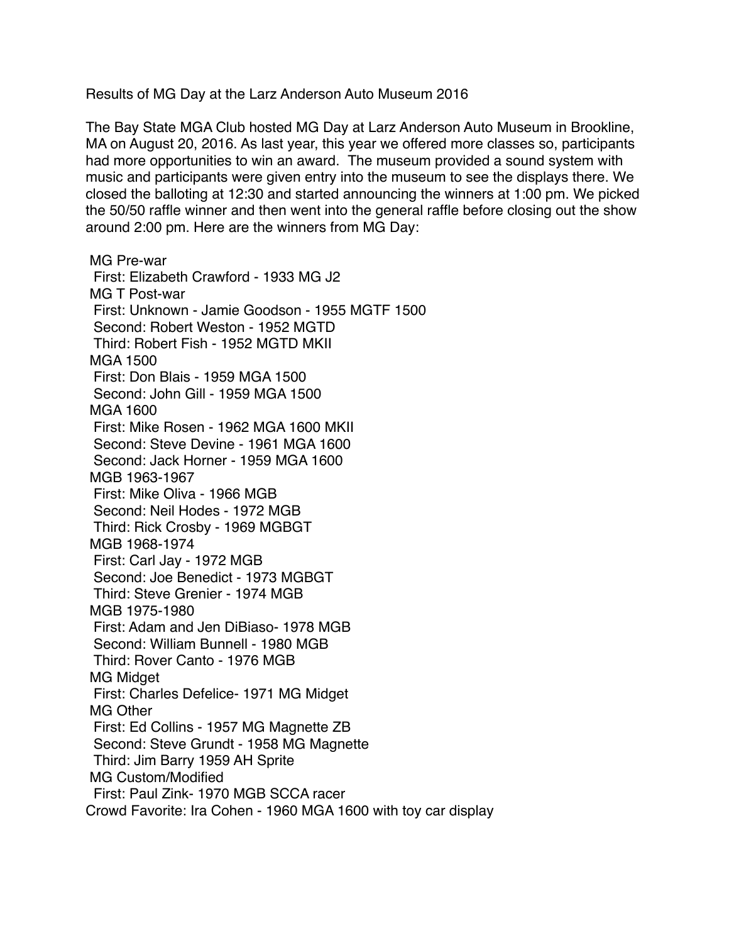Results of MG Day at the Larz Anderson Auto Museum 2016

The Bay State MGA Club hosted MG Day at Larz Anderson Auto Museum in Brookline, MA on August 20, 2016. As last year, this year we offered more classes so, participants had more opportunities to win an award. The museum provided a sound system with music and participants were given entry into the museum to see the displays there. We closed the balloting at 12:30 and started announcing the winners at 1:00 pm. We picked the 50/50 raffle winner and then went into the general raffle before closing out the show around 2:00 pm. Here are the winners from MG Day:

MG Pre-war First: Elizabeth Crawford - 1933 MG J2 MG T Post-war First: Unknown - Jamie Goodson - 1955 MGTF 1500 Second: Robert Weston - 1952 MGTD Third: Robert Fish - 1952 MGTD MKII MGA 1500 First: Don Blais - 1959 MGA 1500 Second: John Gill - 1959 MGA 1500 MGA 1600 First: Mike Rosen - 1962 MGA 1600 MKII Second: Steve Devine - 1961 MGA 1600 Second: Jack Horner - 1959 MGA 1600 MGB 1963-1967 First: Mike Oliva - 1966 MGB Second: Neil Hodes - 1972 MGB Third: Rick Crosby - 1969 MGBGT MGB 1968-1974 First: Carl Jay - 1972 MGB Second: Joe Benedict - 1973 MGBGT Third: Steve Grenier - 1974 MGB MGB 1975-1980 First: Adam and Jen DiBiaso- 1978 MGB Second: William Bunnell - 1980 MGB Third: Rover Canto - 1976 MGB MG Midget First: Charles Defelice- 1971 MG Midget MG Other First: Ed Collins - 1957 MG Magnette ZB Second: Steve Grundt - 1958 MG Magnette Third: Jim Barry 1959 AH Sprite MG Custom/Modified First: Paul Zink- 1970 MGB SCCA racer Crowd Favorite: Ira Cohen - 1960 MGA 1600 with toy car display